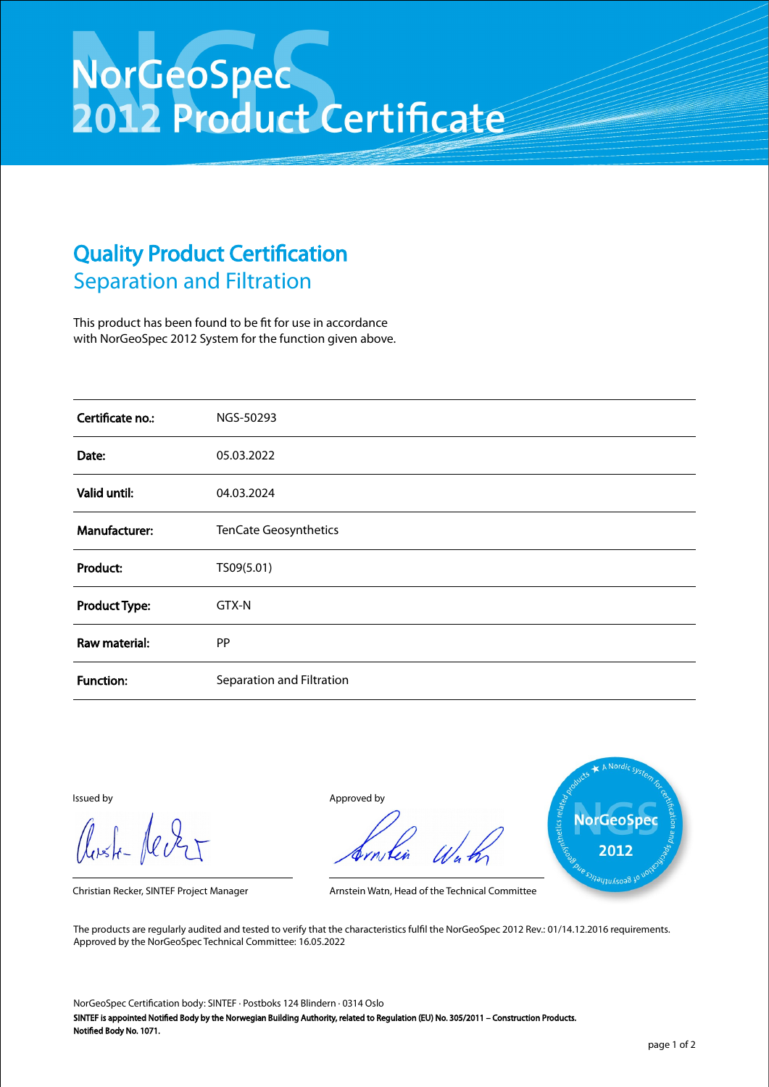## NorGeoSpec<br>2012 Product Certificate

## Quality Product Certification Separation and Filtration

This product has been found to be fit for use in accordance with NorGeoSpec 2012 System for the function given above.

| Certificate no.:     | NGS-50293                 |
|----------------------|---------------------------|
| Date:                | 05.03.2022                |
| Valid until:         | 04.03.2024                |
| Manufacturer:        | TenCate Geosynthetics     |
| Product:             | TS09(5.01)                |
| <b>Product Type:</b> | GTX-N                     |
| Raw material:        | PP                        |
| <b>Function:</b>     | Separation and Filtration |

Aust-Jever

Issued by Approved by



Christian Recker, SINTEF Project Manager Arnstein Watn, Head of the Technical Committee

The products are regularly audited and tested to verify that the characteristics fulfil the NorGeoSpec 2012 Rev.: 01/14.12.2016 requirements. Approved by the NorGeoSpec Technical Committee: 16.05.2022